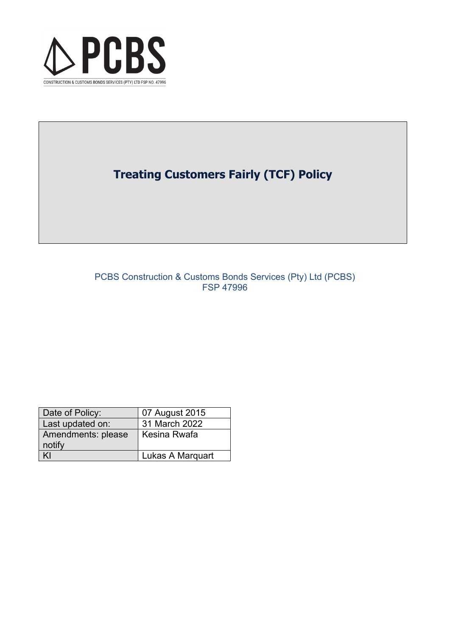

# **Treating Customers Fairly (TCF) Policy**

# PCBS Construction & Customs Bonds Services (Pty) Ltd (PCBS) FSP 47996

| Date of Policy:    | 07 August 2015   |
|--------------------|------------------|
| Last updated on:   | 31 March 2022    |
| Amendments: please | Kesina Rwafa     |
| notify             |                  |
|                    | Lukas A Marguart |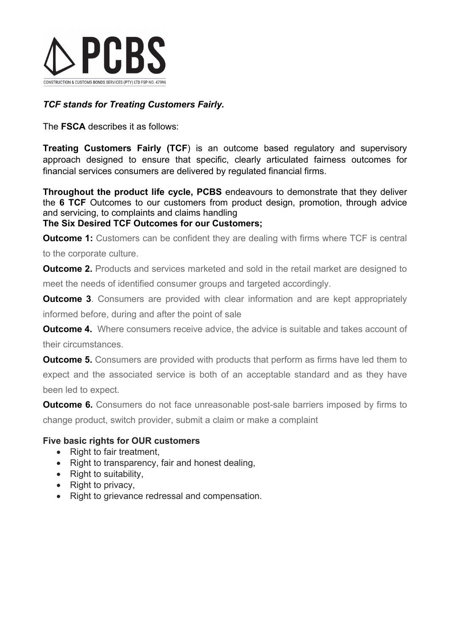

# *TCF stands for Treating Customers Fairly.*

The **FSCA** describes it as follows:

**Treating Customers Fairly (TCF**) is an outcome based regulatory and supervisory approach designed to ensure that specific, clearly articulated fairness outcomes for financial services consumers are delivered by regulated financial firms.

**Throughout the product life cycle, PCBS** endeavours to demonstrate that they deliver the **6 TCF** Outcomes to our customers from product design, promotion, through advice and servicing, to complaints and claims handling

# **The Six Desired TCF Outcomes for our Customers;**

**Outcome 1:** Customers can be confident they are dealing with firms where TCF is central to the corporate culture.

**Outcome 2.** Products and services marketed and sold in the retail market are designed to meet the needs of identified consumer groups and targeted accordingly.

**Outcome 3**. Consumers are provided with clear information and are kept appropriately informed before, during and after the point of sale

**Outcome 4.** Where consumers receive advice, the advice is suitable and takes account of their circumstances.

**Outcome 5.** Consumers are provided with products that perform as firms have led them to expect and the associated service is both of an acceptable standard and as they have been led to expect.

**Outcome 6.** Consumers do not face unreasonable post-sale barriers imposed by firms to change product, switch provider, submit a claim or make a complaint

# **Five basic rights for OUR customers**

- Right to fair treatment.
- Right to transparency, fair and honest dealing,
- Right to suitability,
- Right to privacy.
- Right to grievance redressal and compensation.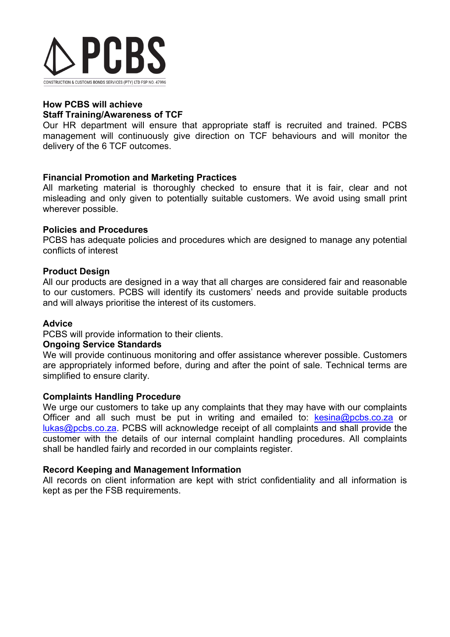

#### **How PCBS will achieve Staff Training/Awareness of TCF**

Our HR department will ensure that appropriate staff is recruited and trained. PCBS management will continuously give direction on TCF behaviours and will monitor the delivery of the 6 TCF outcomes.

# **Financial Promotion and Marketing Practices**

All marketing material is thoroughly checked to ensure that it is fair, clear and not misleading and only given to potentially suitable customers. We avoid using small print wherever possible.

#### **Policies and Procedures**

PCBS has adequate policies and procedures which are designed to manage any potential conflicts of interest

# **Product Design**

All our products are designed in a way that all charges are considered fair and reasonable to our customers. PCBS will identify its customers' needs and provide suitable products and will always prioritise the interest of its customers.

#### **Advice**

PCBS will provide information to their clients.

#### **Ongoing Service Standards**

We will provide continuous monitoring and offer assistance wherever possible. Customers are appropriately informed before, during and after the point of sale. Technical terms are simplified to ensure clarity.

#### **Complaints Handling Procedure**

We urge our customers to take up any complaints that they may have with our complaints Officer and all such must be put in writing and emailed to:  $k$ esina@pcbs.co.za or [lukas@pcbs.co.za.](mailto:lukas@pcbs.co.za) PCBS will acknowledge receipt of all complaints and shall provide the customer with the details of our internal complaint handling procedures. All complaints shall be handled fairly and recorded in our complaints register.

#### **Record Keeping and Management Information**

All records on client information are kept with strict confidentiality and all information is kept as per the FSB requirements.